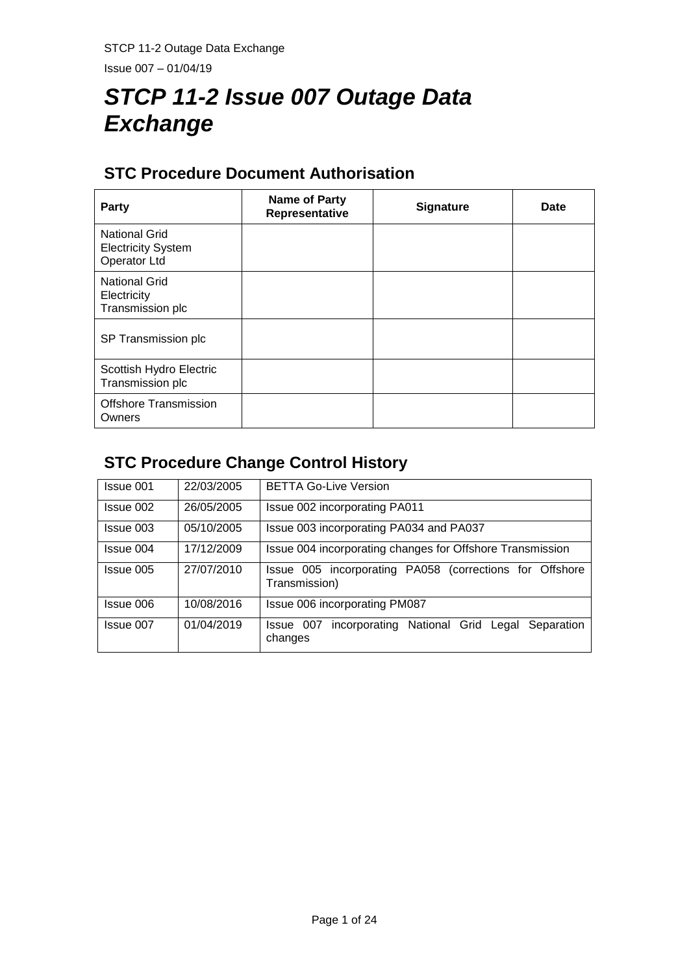Issue 007 – 01/04/19

# *STCP 11-2 Issue 007 Outage Data Exchange*

# **STC Procedure Document Authorisation**

| Party                                                             | Name of Party<br>Representative | <b>Signature</b> | <b>Date</b> |
|-------------------------------------------------------------------|---------------------------------|------------------|-------------|
| <b>National Grid</b><br><b>Electricity System</b><br>Operator Ltd |                                 |                  |             |
| <b>National Grid</b><br>Electricity<br>Transmission plc           |                                 |                  |             |
| SP Transmission plc                                               |                                 |                  |             |
| Scottish Hydro Electric<br>Transmission plc                       |                                 |                  |             |
| <b>Offshore Transmission</b><br>Owners                            |                                 |                  |             |

# **STC Procedure Change Control History**

| Issue 001 | 22/03/2005 | <b>BETTA Go-Live Version</b>                                             |
|-----------|------------|--------------------------------------------------------------------------|
| Issue 002 | 26/05/2005 | Issue 002 incorporating PA011                                            |
| Issue 003 | 05/10/2005 | Issue 003 incorporating PA034 and PA037                                  |
| Issue 004 | 17/12/2009 | Issue 004 incorporating changes for Offshore Transmission                |
| Issue 005 | 27/07/2010 | Issue 005 incorporating PA058 (corrections for Offshore<br>Transmission) |
| Issue 006 | 10/08/2016 | Issue 006 incorporating PM087                                            |
| Issue 007 | 01/04/2019 | incorporating National Grid Legal<br>Issue 007<br>Separation<br>changes  |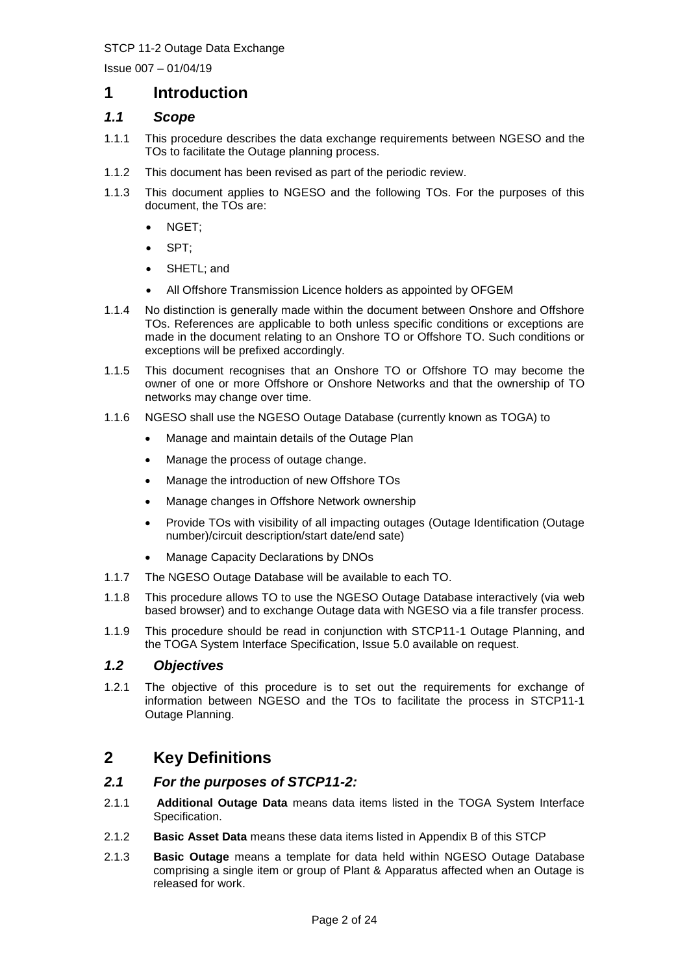Issue 007 – 01/04/19

# **1 Introduction**

#### *1.1 Scope*

- 1.1.1 This procedure describes the data exchange requirements between NGESO and the TOs to facilitate the Outage planning process.
- 1.1.2 This document has been revised as part of the periodic review.
- 1.1.3 This document applies to NGESO and the following TOs. For the purposes of this document, the TOs are:
	- NGET:
	- SPT:
	- SHETL; and
	- All Offshore Transmission Licence holders as appointed by OFGEM
- 1.1.4 No distinction is generally made within the document between Onshore and Offshore TOs. References are applicable to both unless specific conditions or exceptions are made in the document relating to an Onshore TO or Offshore TO. Such conditions or exceptions will be prefixed accordingly.
- 1.1.5 This document recognises that an Onshore TO or Offshore TO may become the owner of one or more Offshore or Onshore Networks and that the ownership of TO networks may change over time.
- 1.1.6 NGESO shall use the NGESO Outage Database (currently known as TOGA) to
	- Manage and maintain details of the Outage Plan
	- Manage the process of outage change.
	- Manage the introduction of new Offshore TOs
	- Manage changes in Offshore Network ownership
	- Provide TOs with visibility of all impacting outages (Outage Identification (Outage number)/circuit description/start date/end sate)
	- Manage Capacity Declarations by DNOs
- 1.1.7 The NGESO Outage Database will be available to each TO.
- 1.1.8 This procedure allows TO to use the NGESO Outage Database interactively (via web based browser) and to exchange Outage data with NGESO via a file transfer process.
- 1.1.9 This procedure should be read in conjunction with STCP11-1 Outage Planning, and the TOGA System Interface Specification, Issue 5.0 available on request.

### *1.2 Objectives*

1.2.1 The objective of this procedure is to set out the requirements for exchange of information between NGESO and the TOs to facilitate the process in STCP11-1 Outage Planning.

# **2 Key Definitions**

#### *2.1 For the purposes of STCP11-2:*

- 2.1.1 **Additional Outage Data** means data items listed in the TOGA System Interface Specification.
- 2.1.2 **Basic Asset Data** means these data items listed in Appendix B of this STCP
- 2.1.3 **Basic Outage** means a template for data held within NGESO Outage Database comprising a single item or group of Plant & Apparatus affected when an Outage is released for work.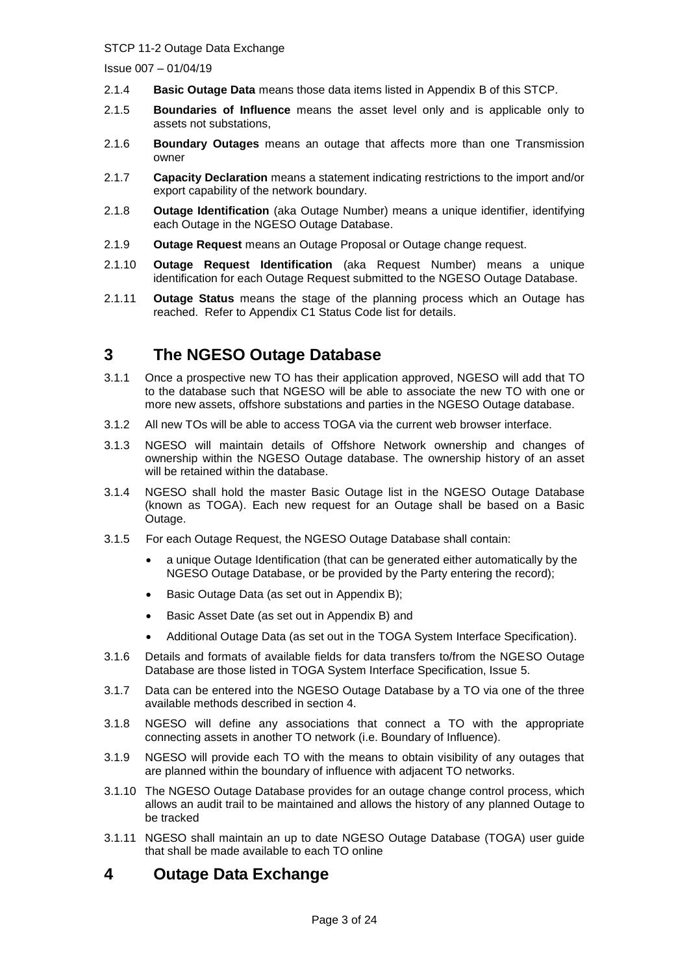Issue 007 – 01/04/19

- 2.1.4 **Basic Outage Data** means those data items listed in Appendix B of this STCP.
- 2.1.5 **Boundaries of Influence** means the asset level only and is applicable only to assets not substations,
- 2.1.6 **Boundary Outages** means an outage that affects more than one Transmission owner
- 2.1.7 **Capacity Declaration** means a statement indicating restrictions to the import and/or export capability of the network boundary.
- 2.1.8 **Outage Identification** (aka Outage Number) means a unique identifier, identifying each Outage in the NGESO Outage Database.
- 2.1.9 **Outage Request** means an Outage Proposal or Outage change request.
- 2.1.10 **Outage Request Identification** (aka Request Number) means a unique identification for each Outage Request submitted to the NGESO Outage Database.
- 2.1.11 **Outage Status** means the stage of the planning process which an Outage has reached. Refer to Appendix C1 Status Code list for details.

# **3 The NGESO Outage Database**

- 3.1.1 Once a prospective new TO has their application approved, NGESO will add that TO to the database such that NGESO will be able to associate the new TO with one or more new assets, offshore substations and parties in the NGESO Outage database.
- 3.1.2 All new TOs will be able to access TOGA via the current web browser interface.
- 3.1.3 NGESO will maintain details of Offshore Network ownership and changes of ownership within the NGESO Outage database. The ownership history of an asset will be retained within the database.
- 3.1.4 NGESO shall hold the master Basic Outage list in the NGESO Outage Database (known as TOGA). Each new request for an Outage shall be based on a Basic Outage.
- 3.1.5 For each Outage Request, the NGESO Outage Database shall contain:
	- a unique Outage Identification (that can be generated either automatically by the NGESO Outage Database, or be provided by the Party entering the record);
	- Basic Outage Data (as set out in Appendix B);
	- Basic Asset Date (as set out in Appendix B) and
	- Additional Outage Data (as set out in the TOGA System Interface Specification).
- 3.1.6 Details and formats of available fields for data transfers to/from the NGESO Outage Database are those listed in TOGA System Interface Specification, Issue 5.
- 3.1.7 Data can be entered into the NGESO Outage Database by a TO via one of the three available methods described in section 4.
- 3.1.8 NGESO will define any associations that connect a TO with the appropriate connecting assets in another TO network (i.e. Boundary of Influence).
- 3.1.9 NGESO will provide each TO with the means to obtain visibility of any outages that are planned within the boundary of influence with adjacent TO networks.
- 3.1.10 The NGESO Outage Database provides for an outage change control process, which allows an audit trail to be maintained and allows the history of any planned Outage to be tracked
- 3.1.11 NGESO shall maintain an up to date NGESO Outage Database (TOGA) user guide that shall be made available to each TO online

# **4 Outage Data Exchange**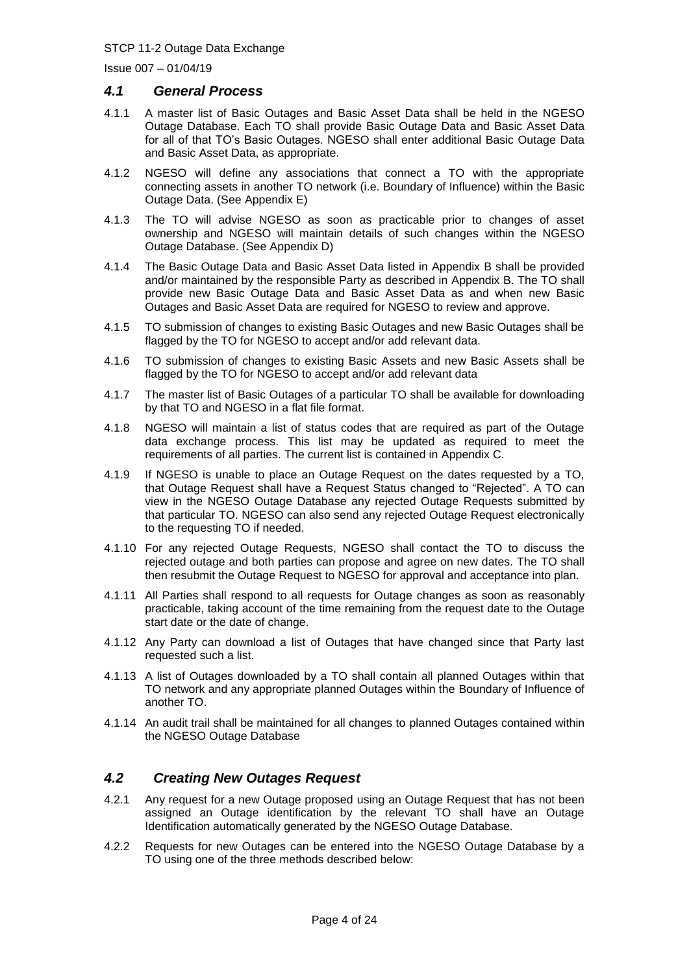Issue 007 – 01/04/19

#### *4.1 General Process*

- 4.1.1 A master list of Basic Outages and Basic Asset Data shall be held in the NGESO Outage Database. Each TO shall provide Basic Outage Data and Basic Asset Data for all of that TO's Basic Outages. NGESO shall enter additional Basic Outage Data and Basic Asset Data, as appropriate.
- 4.1.2 NGESO will define any associations that connect a TO with the appropriate connecting assets in another TO network (i.e. Boundary of Influence) within the Basic Outage Data. (See Appendix E)
- 4.1.3 The TO will advise NGESO as soon as practicable prior to changes of asset ownership and NGESO will maintain details of such changes within the NGESO Outage Database. (See Appendix D)
- 4.1.4 The Basic Outage Data and Basic Asset Data listed in Appendix B shall be provided and/or maintained by the responsible Party as described in Appendix B. The TO shall provide new Basic Outage Data and Basic Asset Data as and when new Basic Outages and Basic Asset Data are required for NGESO to review and approve.
- 4.1.5 TO submission of changes to existing Basic Outages and new Basic Outages shall be flagged by the TO for NGESO to accept and/or add relevant data.
- 4.1.6 TO submission of changes to existing Basic Assets and new Basic Assets shall be flagged by the TO for NGESO to accept and/or add relevant data
- 4.1.7 The master list of Basic Outages of a particular TO shall be available for downloading by that TO and NGESO in a flat file format.
- 4.1.8 NGESO will maintain a list of status codes that are required as part of the Outage data exchange process. This list may be updated as required to meet the requirements of all parties. The current list is contained in Appendix C.
- 4.1.9 If NGESO is unable to place an Outage Request on the dates requested by a TO, that Outage Request shall have a Request Status changed to "Rejected". A TO can view in the NGESO Outage Database any rejected Outage Requests submitted by that particular TO. NGESO can also send any rejected Outage Request electronically to the requesting TO if needed.
- 4.1.10 For any rejected Outage Requests, NGESO shall contact the TO to discuss the rejected outage and both parties can propose and agree on new dates. The TO shall then resubmit the Outage Request to NGESO for approval and acceptance into plan.
- 4.1.11 All Parties shall respond to all requests for Outage changes as soon as reasonably practicable, taking account of the time remaining from the request date to the Outage start date or the date of change.
- 4.1.12 Any Party can download a list of Outages that have changed since that Party last requested such a list.
- 4.1.13 A list of Outages downloaded by a TO shall contain all planned Outages within that TO network and any appropriate planned Outages within the Boundary of Influence of another TO.
- 4.1.14 An audit trail shall be maintained for all changes to planned Outages contained within the NGESO Outage Database

### *4.2 Creating New Outages Request*

- 4.2.1 Any request for a new Outage proposed using an Outage Request that has not been assigned an Outage identification by the relevant TO shall have an Outage Identification automatically generated by the NGESO Outage Database.
- 4.2.2 Requests for new Outages can be entered into the NGESO Outage Database by a TO using one of the three methods described below: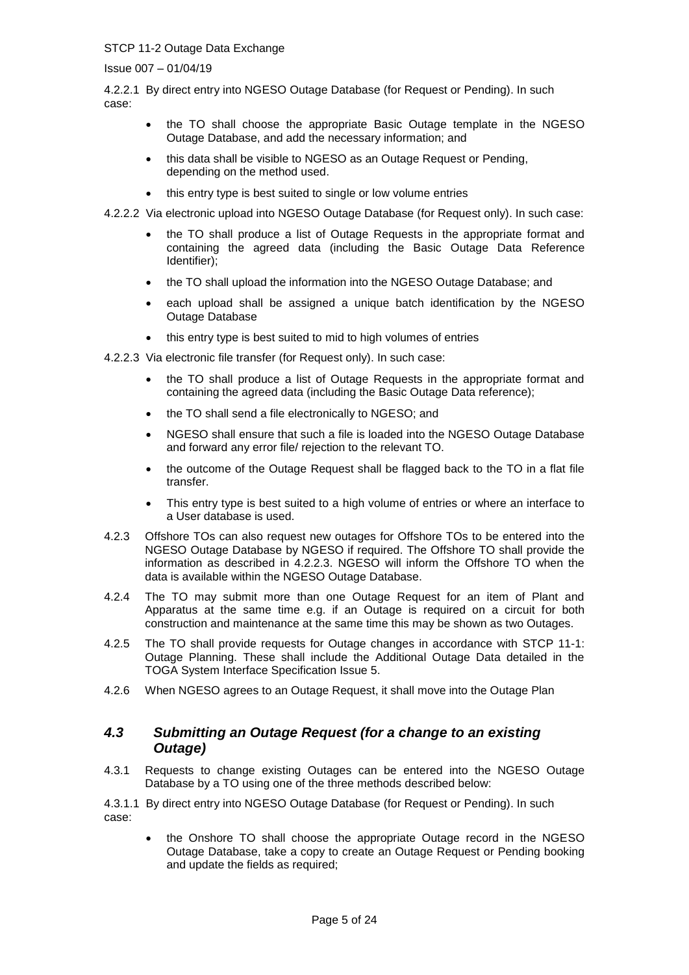Issue 007 – 01/04/19

4.2.2.1 By direct entry into NGESO Outage Database (for Request or Pending). In such case:

- the TO shall choose the appropriate Basic Outage template in the NGESO Outage Database, and add the necessary information; and
- this data shall be visible to NGESO as an Outage Request or Pending, depending on the method used.
- this entry type is best suited to single or low volume entries

4.2.2.2 Via electronic upload into NGESO Outage Database (for Request only). In such case:

- the TO shall produce a list of Outage Requests in the appropriate format and containing the agreed data (including the Basic Outage Data Reference Identifier);
- the TO shall upload the information into the NGESO Outage Database; and
- each upload shall be assigned a unique batch identification by the NGESO Outage Database
- this entry type is best suited to mid to high volumes of entries

4.2.2.3 Via electronic file transfer (for Request only). In such case:

- the TO shall produce a list of Outage Requests in the appropriate format and containing the agreed data (including the Basic Outage Data reference);
- the TO shall send a file electronically to NGESO; and
- NGESO shall ensure that such a file is loaded into the NGESO Outage Database and forward any error file/ rejection to the relevant TO.
- the outcome of the Outage Request shall be flagged back to the TO in a flat file transfer.
- This entry type is best suited to a high volume of entries or where an interface to a User database is used.
- 4.2.3 Offshore TOs can also request new outages for Offshore TOs to be entered into the NGESO Outage Database by NGESO if required. The Offshore TO shall provide the information as described in 4.2.2.3. NGESO will inform the Offshore TO when the data is available within the NGESO Outage Database.
- 4.2.4 The TO may submit more than one Outage Request for an item of Plant and Apparatus at the same time e.g. if an Outage is required on a circuit for both construction and maintenance at the same time this may be shown as two Outages.
- 4.2.5 The TO shall provide requests for Outage changes in accordance with STCP 11-1: Outage Planning. These shall include the Additional Outage Data detailed in the TOGA System Interface Specification Issue 5.
- 4.2.6 When NGESO agrees to an Outage Request, it shall move into the Outage Plan

### *4.3 Submitting an Outage Request (for a change to an existing Outage)*

4.3.1 Requests to change existing Outages can be entered into the NGESO Outage Database by a TO using one of the three methods described below:

4.3.1.1 By direct entry into NGESO Outage Database (for Request or Pending). In such case:

• the Onshore TO shall choose the appropriate Outage record in the NGESO Outage Database, take a copy to create an Outage Request or Pending booking and update the fields as required;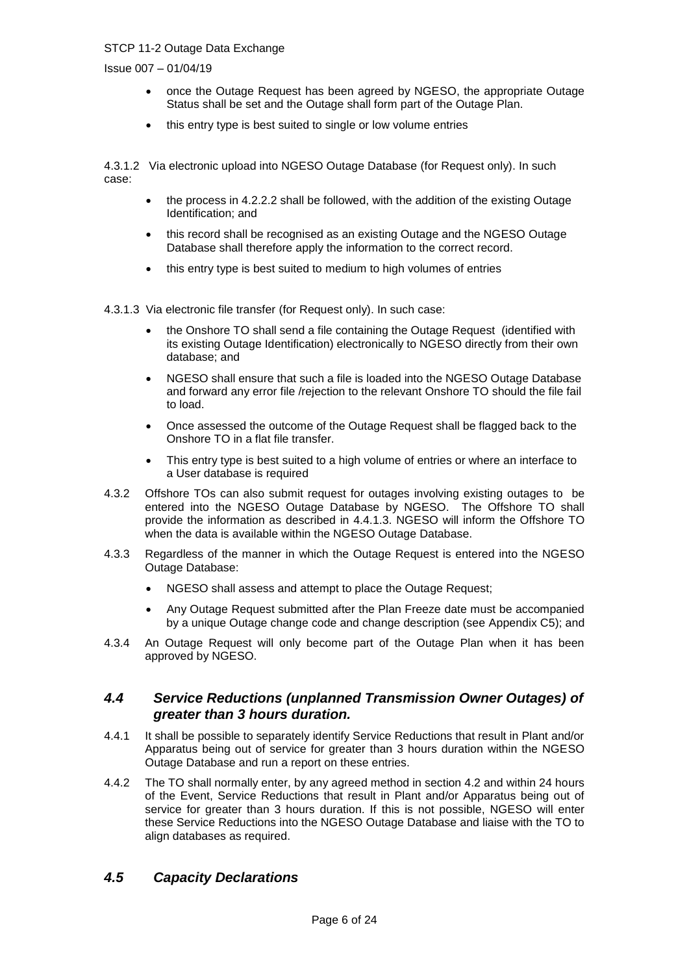Issue 007 – 01/04/19

- once the Outage Request has been agreed by NGESO, the appropriate Outage Status shall be set and the Outage shall form part of the Outage Plan.
- this entry type is best suited to single or low volume entries

4.3.1.2 Via electronic upload into NGESO Outage Database (for Request only). In such case:

- the process in 4.2.2.2 shall be followed, with the addition of the existing Outage Identification; and
- this record shall be recognised as an existing Outage and the NGESO Outage Database shall therefore apply the information to the correct record.
- this entry type is best suited to medium to high volumes of entries

4.3.1.3 Via electronic file transfer (for Request only). In such case:

- the Onshore TO shall send a file containing the Outage Request (identified with its existing Outage Identification) electronically to NGESO directly from their own database; and
- NGESO shall ensure that such a file is loaded into the NGESO Outage Database and forward any error file /rejection to the relevant Onshore TO should the file fail to load.
- Once assessed the outcome of the Outage Request shall be flagged back to the Onshore TO in a flat file transfer.
- This entry type is best suited to a high volume of entries or where an interface to a User database is required
- 4.3.2 Offshore TOs can also submit request for outages involving existing outages to be entered into the NGESO Outage Database by NGESO. The Offshore TO shall provide the information as described in 4.4.1.3. NGESO will inform the Offshore TO when the data is available within the NGESO Outage Database.
- 4.3.3 Regardless of the manner in which the Outage Request is entered into the NGESO Outage Database:
	- NGESO shall assess and attempt to place the Outage Request;
	- Any Outage Request submitted after the Plan Freeze date must be accompanied by a unique Outage change code and change description (see Appendix C5); and
- 4.3.4 An Outage Request will only become part of the Outage Plan when it has been approved by NGESO.

#### *4.4 Service Reductions (unplanned Transmission Owner Outages) of greater than 3 hours duration.*

- 4.4.1 It shall be possible to separately identify Service Reductions that result in Plant and/or Apparatus being out of service for greater than 3 hours duration within the NGESO Outage Database and run a report on these entries.
- 4.4.2 The TO shall normally enter, by any agreed method in section 4.2 and within 24 hours of the Event, Service Reductions that result in Plant and/or Apparatus being out of service for greater than 3 hours duration. If this is not possible, NGESO will enter these Service Reductions into the NGESO Outage Database and liaise with the TO to align databases as required.

### *4.5 Capacity Declarations*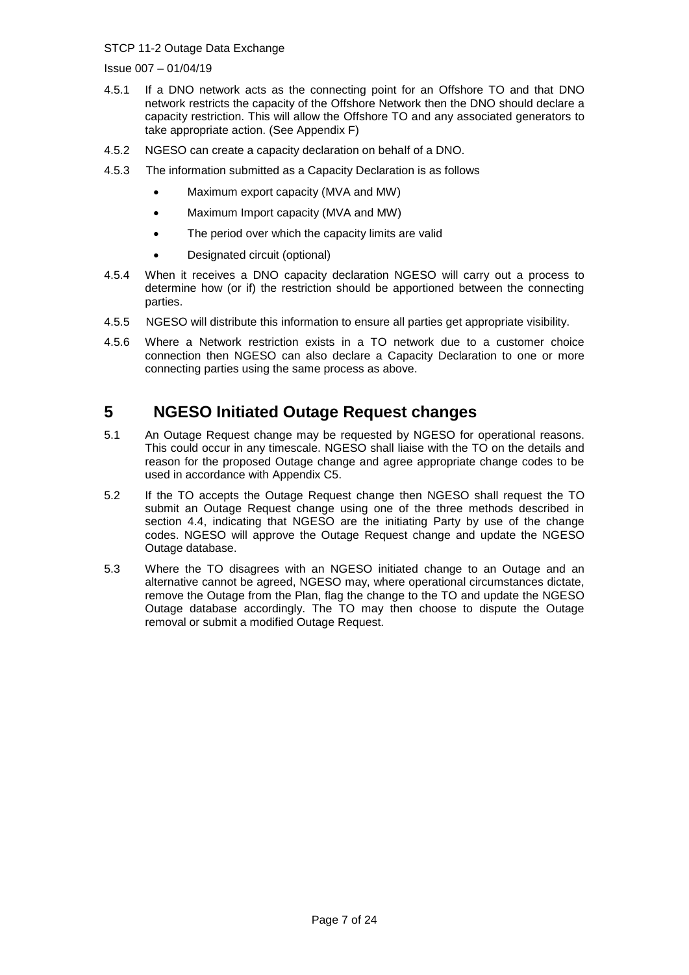Issue 007 – 01/04/19

- 4.5.1 If a DNO network acts as the connecting point for an Offshore TO and that DNO network restricts the capacity of the Offshore Network then the DNO should declare a capacity restriction. This will allow the Offshore TO and any associated generators to take appropriate action. (See Appendix F)
- 4.5.2 NGESO can create a capacity declaration on behalf of a DNO.
- 4.5.3 The information submitted as a Capacity Declaration is as follows
	- Maximum export capacity (MVA and MW)
	- Maximum Import capacity (MVA and MW)
	- The period over which the capacity limits are valid
	- Designated circuit (optional)
- 4.5.4 When it receives a DNO capacity declaration NGESO will carry out a process to determine how (or if) the restriction should be apportioned between the connecting parties.
- 4.5.5 NGESO will distribute this information to ensure all parties get appropriate visibility.
- 4.5.6 Where a Network restriction exists in a TO network due to a customer choice connection then NGESO can also declare a Capacity Declaration to one or more connecting parties using the same process as above.

# **5 NGESO Initiated Outage Request changes**

- 5.1 An Outage Request change may be requested by NGESO for operational reasons. This could occur in any timescale. NGESO shall liaise with the TO on the details and reason for the proposed Outage change and agree appropriate change codes to be used in accordance with Appendix C5.
- 5.2 If the TO accepts the Outage Request change then NGESO shall request the TO submit an Outage Request change using one of the three methods described in section 4.4, indicating that NGESO are the initiating Party by use of the change codes. NGESO will approve the Outage Request change and update the NGESO Outage database.
- 5.3 Where the TO disagrees with an NGESO initiated change to an Outage and an alternative cannot be agreed, NGESO may, where operational circumstances dictate, remove the Outage from the Plan, flag the change to the TO and update the NGESO Outage database accordingly. The TO may then choose to dispute the Outage removal or submit a modified Outage Request.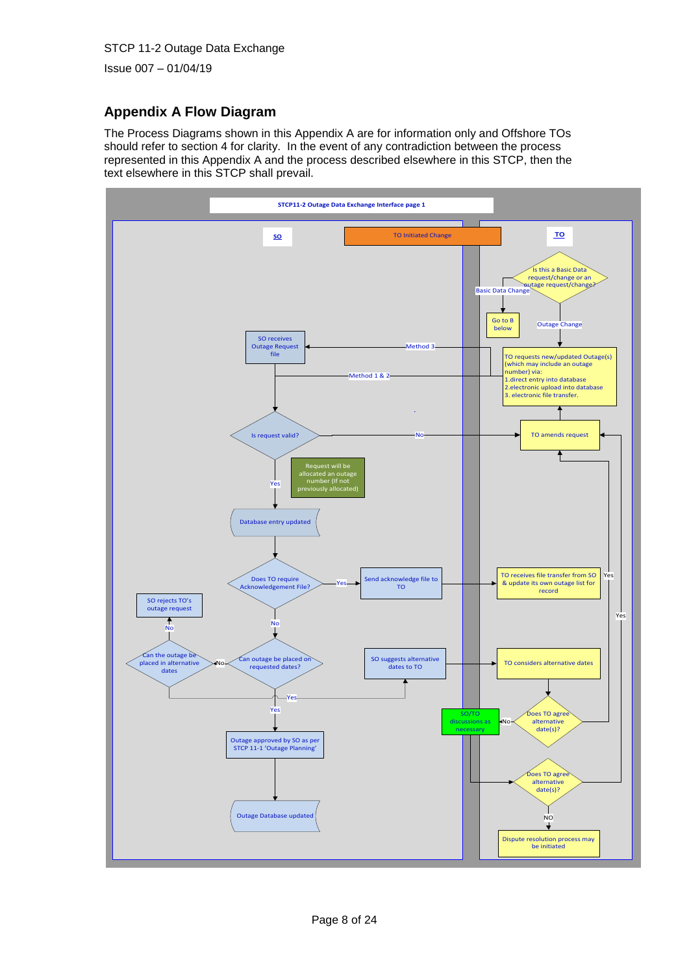Issue 007 – 01/04/19

# **Appendix A Flow Diagram**

The Process Diagrams shown in this Appendix A are for information only and Offshore TOs should refer to section 4 for clarity. In the event of any contradiction between the process represented in this Appendix A and the process described elsewhere in this STCP, then the text elsewhere in this STCP shall prevail.

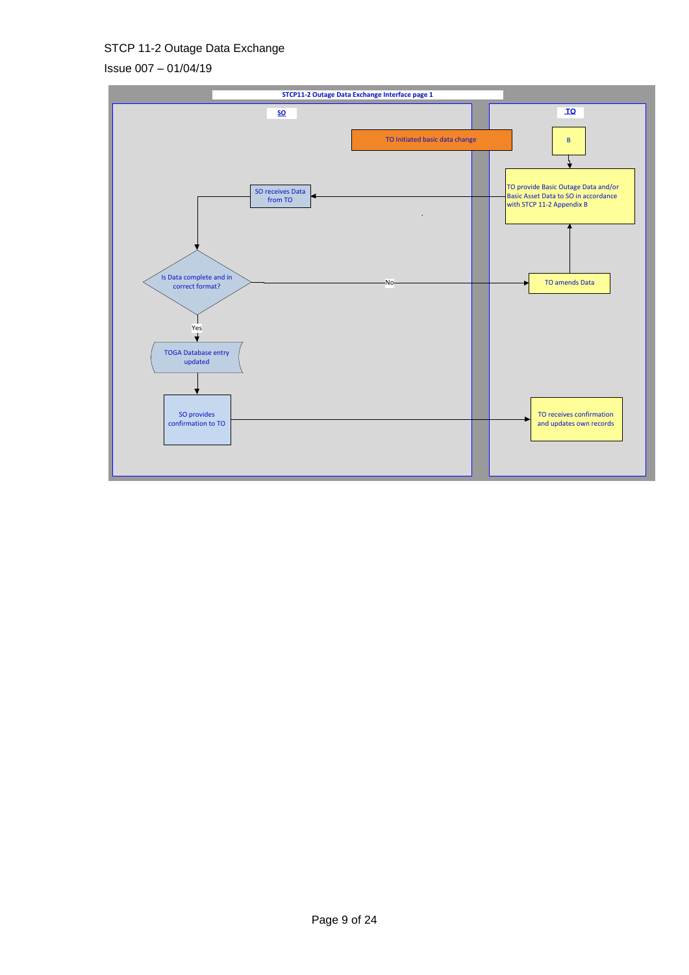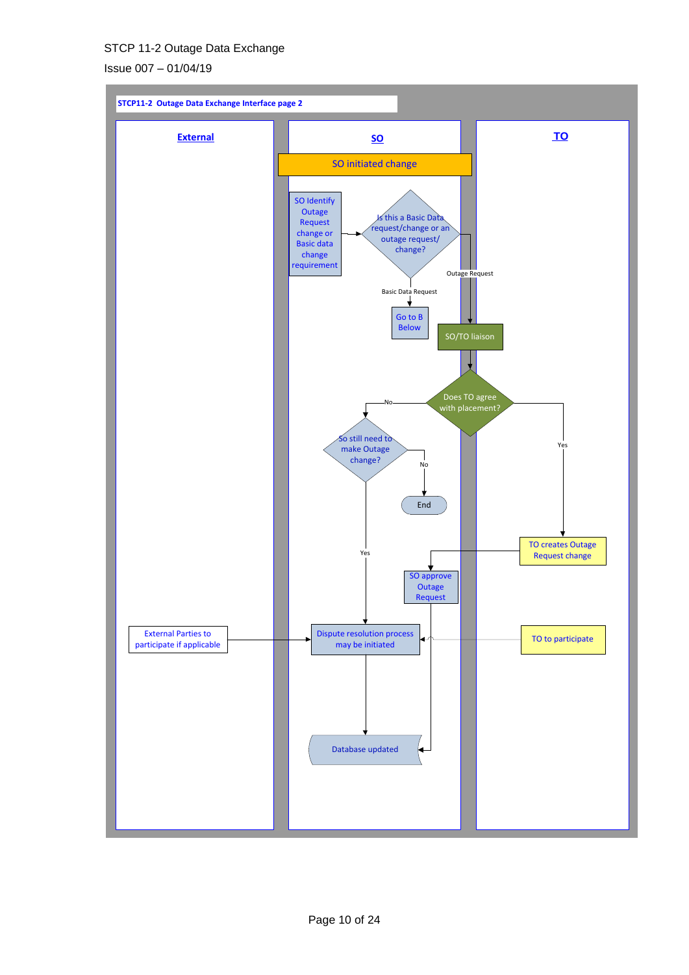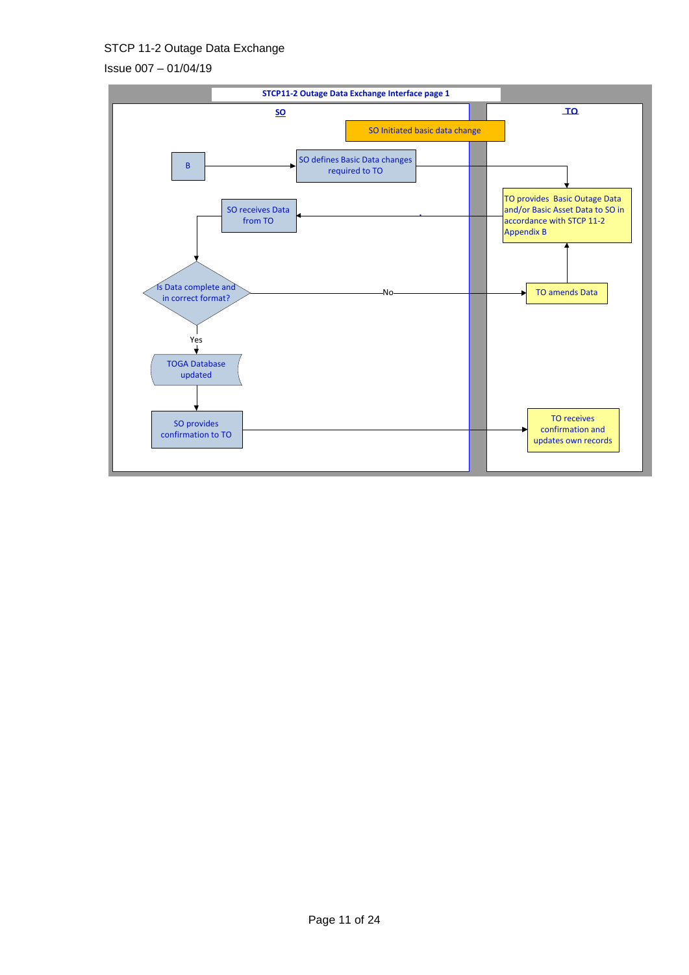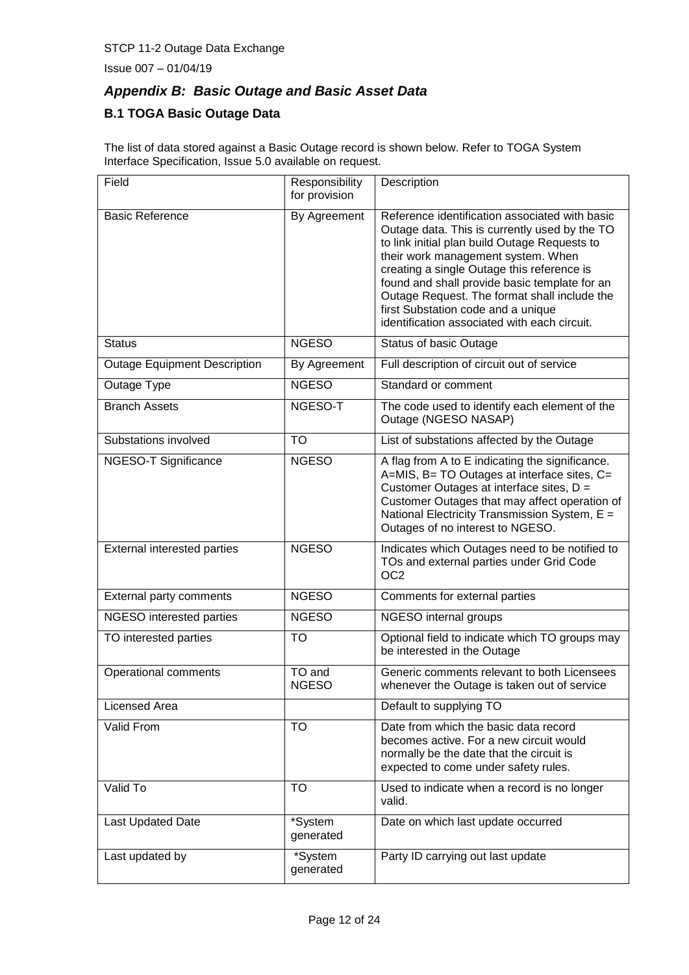Issue 007 – 01/04/19

# *Appendix B: Basic Outage and Basic Asset Data*

### **B.1 TOGA Basic Outage Data**

The list of data stored against a Basic Outage record is shown below. Refer to TOGA System Interface Specification, Issue 5.0 available on request.

| Field                               | Responsibility<br>for provision | Description                                                                                                                                                                                                                                                                                                                                                                                                                 |
|-------------------------------------|---------------------------------|-----------------------------------------------------------------------------------------------------------------------------------------------------------------------------------------------------------------------------------------------------------------------------------------------------------------------------------------------------------------------------------------------------------------------------|
| <b>Basic Reference</b>              | By Agreement                    | Reference identification associated with basic<br>Outage data. This is currently used by the TO<br>to link initial plan build Outage Requests to<br>their work management system. When<br>creating a single Outage this reference is<br>found and shall provide basic template for an<br>Outage Request. The format shall include the<br>first Substation code and a unique<br>identification associated with each circuit. |
| <b>Status</b>                       | <b>NGESO</b>                    | <b>Status of basic Outage</b>                                                                                                                                                                                                                                                                                                                                                                                               |
| <b>Outage Equipment Description</b> | By Agreement                    | Full description of circuit out of service                                                                                                                                                                                                                                                                                                                                                                                  |
| Outage Type                         | <b>NGESO</b>                    | Standard or comment                                                                                                                                                                                                                                                                                                                                                                                                         |
| <b>Branch Assets</b>                | NGESO-T                         | The code used to identify each element of the<br>Outage (NGESO NASAP)                                                                                                                                                                                                                                                                                                                                                       |
| Substations involved                | <b>TO</b>                       | List of substations affected by the Outage                                                                                                                                                                                                                                                                                                                                                                                  |
| NGESO-T Significance                | <b>NGESO</b>                    | A flag from A to E indicating the significance.<br>A=MIS, B= TO Outages at interface sites, C=<br>Customer Outages at interface sites, D =<br>Customer Outages that may affect operation of<br>National Electricity Transmission System, E =<br>Outages of no interest to NGESO.                                                                                                                                            |
| External interested parties         | <b>NGESO</b>                    | Indicates which Outages need to be notified to<br>TOs and external parties under Grid Code<br>OC <sub>2</sub>                                                                                                                                                                                                                                                                                                               |
| External party comments             | <b>NGESO</b>                    | Comments for external parties                                                                                                                                                                                                                                                                                                                                                                                               |
| NGESO interested parties            | <b>NGESO</b>                    | NGESO internal groups                                                                                                                                                                                                                                                                                                                                                                                                       |
| TO interested parties               | <b>TO</b>                       | Optional field to indicate which TO groups may<br>be interested in the Outage                                                                                                                                                                                                                                                                                                                                               |
| Operational comments                | TO and<br><b>NGESO</b>          | Generic comments relevant to both Licensees<br>whenever the Outage is taken out of service                                                                                                                                                                                                                                                                                                                                  |
| Licensed Area                       |                                 | Default to supplying TO                                                                                                                                                                                                                                                                                                                                                                                                     |
| Valid From                          | <b>TO</b>                       | Date from which the basic data record<br>becomes active. For a new circuit would<br>normally be the date that the circuit is<br>expected to come under safety rules.                                                                                                                                                                                                                                                        |
| Valid To                            | TO                              | Used to indicate when a record is no longer<br>valid.                                                                                                                                                                                                                                                                                                                                                                       |
| Last Updated Date                   | *System<br>generated            | Date on which last update occurred                                                                                                                                                                                                                                                                                                                                                                                          |
| Last updated by                     | *System<br>generated            | Party ID carrying out last update                                                                                                                                                                                                                                                                                                                                                                                           |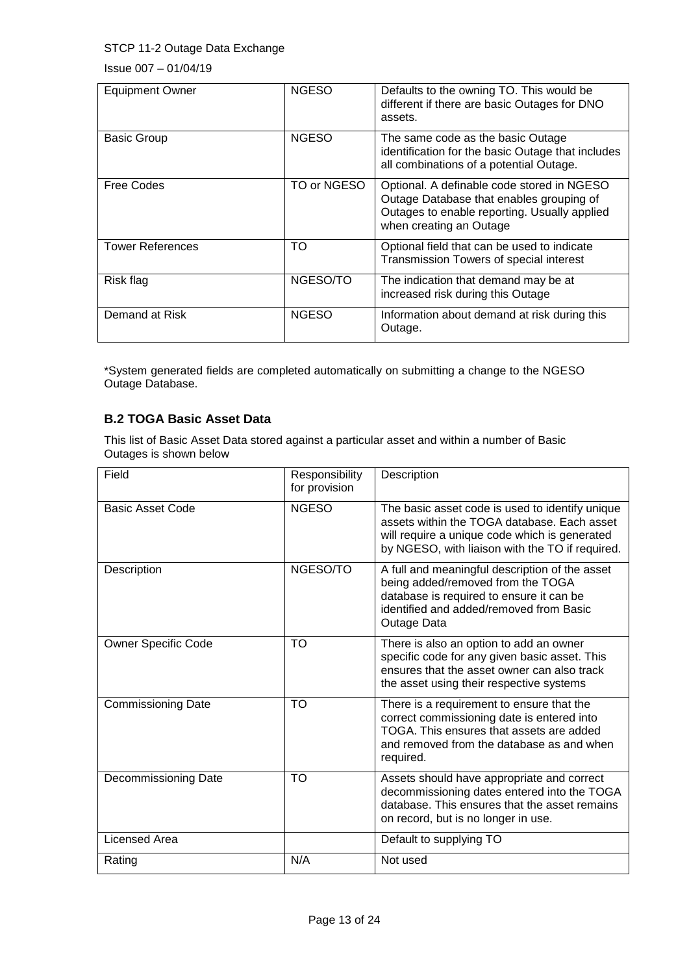Issue 007 – 01/04/19

| <b>Equipment Owner</b>  | <b>NGESO</b> | Defaults to the owning TO. This would be<br>different if there are basic Outages for DNO<br>assets.                                                               |
|-------------------------|--------------|-------------------------------------------------------------------------------------------------------------------------------------------------------------------|
| <b>Basic Group</b>      | <b>NGESO</b> | The same code as the basic Outage<br>identification for the basic Outage that includes<br>all combinations of a potential Outage.                                 |
| Free Codes              | TO or NGESO  | Optional. A definable code stored in NGESO<br>Outage Database that enables grouping of<br>Outages to enable reporting. Usually applied<br>when creating an Outage |
| <b>Tower References</b> | TO           | Optional field that can be used to indicate<br>Transmission Towers of special interest                                                                            |
| Risk flag               | NGESO/TO     | The indication that demand may be at<br>increased risk during this Outage                                                                                         |
| Demand at Risk          | <b>NGESO</b> | Information about demand at risk during this<br>Outage.                                                                                                           |

\*System generated fields are completed automatically on submitting a change to the NGESO Outage Database.

#### **B.2 TOGA Basic Asset Data**

This list of Basic Asset Data stored against a particular asset and within a number of Basic Outages is shown below

| Field                      | Responsibility<br>for provision | Description                                                                                                                                                                                        |
|----------------------------|---------------------------------|----------------------------------------------------------------------------------------------------------------------------------------------------------------------------------------------------|
| <b>Basic Asset Code</b>    | <b>NGESO</b>                    | The basic asset code is used to identify unique<br>assets within the TOGA database. Each asset<br>will require a unique code which is generated<br>by NGESO, with liaison with the TO if required. |
| Description                | NGESO/TO                        | A full and meaningful description of the asset<br>being added/removed from the TOGA<br>database is required to ensure it can be<br>identified and added/removed from Basic<br>Outage Data          |
| <b>Owner Specific Code</b> | <b>TO</b>                       | There is also an option to add an owner<br>specific code for any given basic asset. This<br>ensures that the asset owner can also track<br>the asset using their respective systems                |
| <b>Commissioning Date</b>  | <b>TO</b>                       | There is a requirement to ensure that the<br>correct commissioning date is entered into<br>TOGA. This ensures that assets are added<br>and removed from the database as and when<br>required.      |
| Decommissioning Date       | <b>TO</b>                       | Assets should have appropriate and correct<br>decommissioning dates entered into the TOGA<br>database. This ensures that the asset remains<br>on record, but is no longer in use.                  |
| <b>Licensed Area</b>       |                                 | Default to supplying TO                                                                                                                                                                            |
| Rating                     | N/A                             | Not used                                                                                                                                                                                           |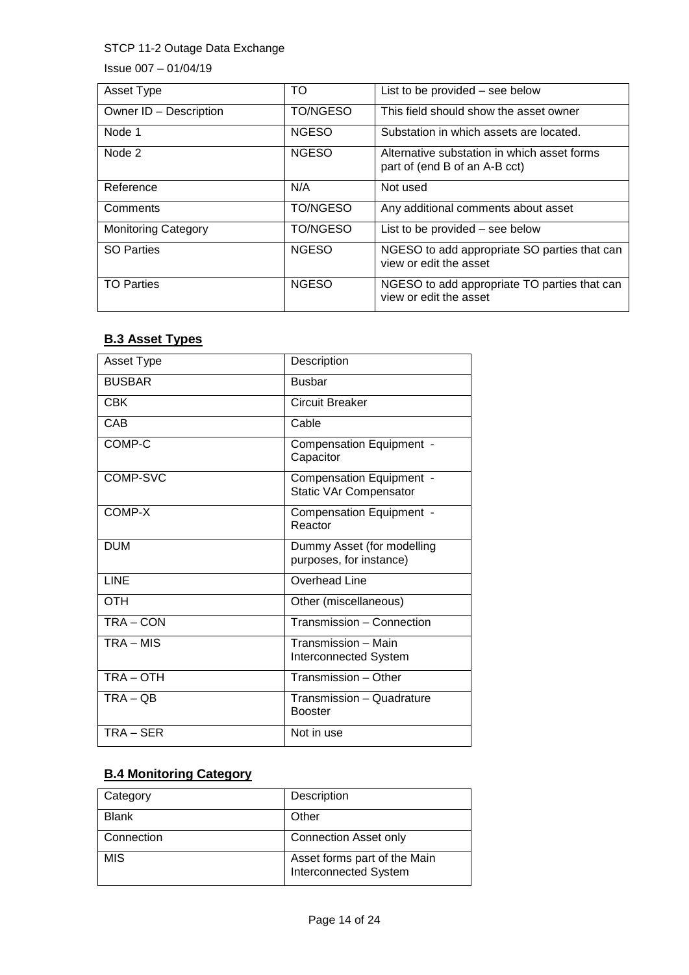Issue 007 – 01/04/19

| Asset Type                 | TO           | List to be provided - see below                                              |
|----------------------------|--------------|------------------------------------------------------------------------------|
| Owner ID - Description     | TO/NGESO     | This field should show the asset owner                                       |
| Node 1                     | <b>NGESO</b> | Substation in which assets are located.                                      |
| Node 2                     | <b>NGESO</b> | Alternative substation in which asset forms<br>part of (end B of an A-B cct) |
| Reference                  | N/A          | Not used                                                                     |
| Comments                   | TO/NGESO     | Any additional comments about asset                                          |
| <b>Monitoring Category</b> | TO/NGESO     | List to be provided – see below                                              |
| <b>SO Parties</b>          | <b>NGESO</b> | NGESO to add appropriate SO parties that can<br>view or edit the asset       |
| <b>TO Parties</b>          | <b>NGESO</b> | NGESO to add appropriate TO parties that can<br>view or edit the asset       |

### **B.3 Asset Types**

| Asset Type    | Description                                               |
|---------------|-----------------------------------------------------------|
| <b>BUSBAR</b> | <b>Busbar</b>                                             |
| <b>CBK</b>    | Circuit Breaker                                           |
| CAB           | Cable                                                     |
| COMP-C        | Compensation Equipment -<br>Capacitor                     |
| COMP-SVC      | Compensation Equipment -<br><b>Static VAr Compensator</b> |
| COMP-X        | Compensation Equipment -<br>Reactor                       |
| <b>DUM</b>    | Dummy Asset (for modelling<br>purposes, for instance)     |
| LINE          | Overhead Line                                             |
| <b>OTH</b>    | Other (miscellaneous)                                     |
| TRA-CON       | Transmission - Connection                                 |
| TRA - MIS     | Transmission - Main<br><b>Interconnected System</b>       |
| TRA-OTH       | Transmission - Other                                      |
| $TRA - QB$    | Transmission - Quadrature<br><b>Booster</b>               |
| TRA – SER     | Not in use                                                |

### **B.4 Monitoring Category**

| Category     | Description                                                  |
|--------------|--------------------------------------------------------------|
| <b>Blank</b> | Other                                                        |
| Connection   | <b>Connection Asset only</b>                                 |
| <b>MIS</b>   | Asset forms part of the Main<br><b>Interconnected System</b> |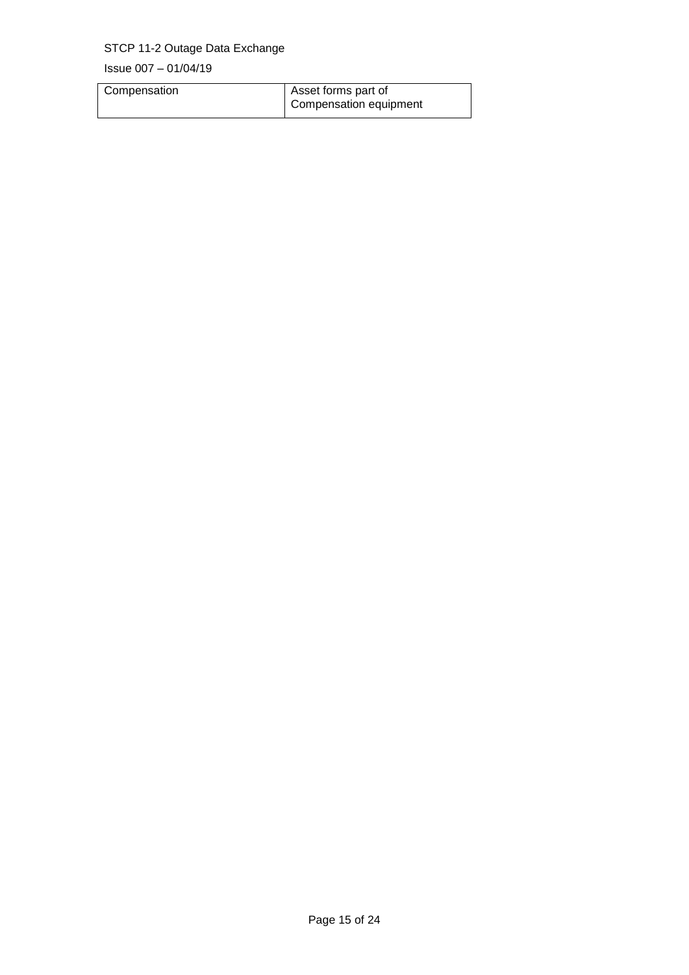| Compensation | Asset forms part of    |
|--------------|------------------------|
|              | Compensation equipment |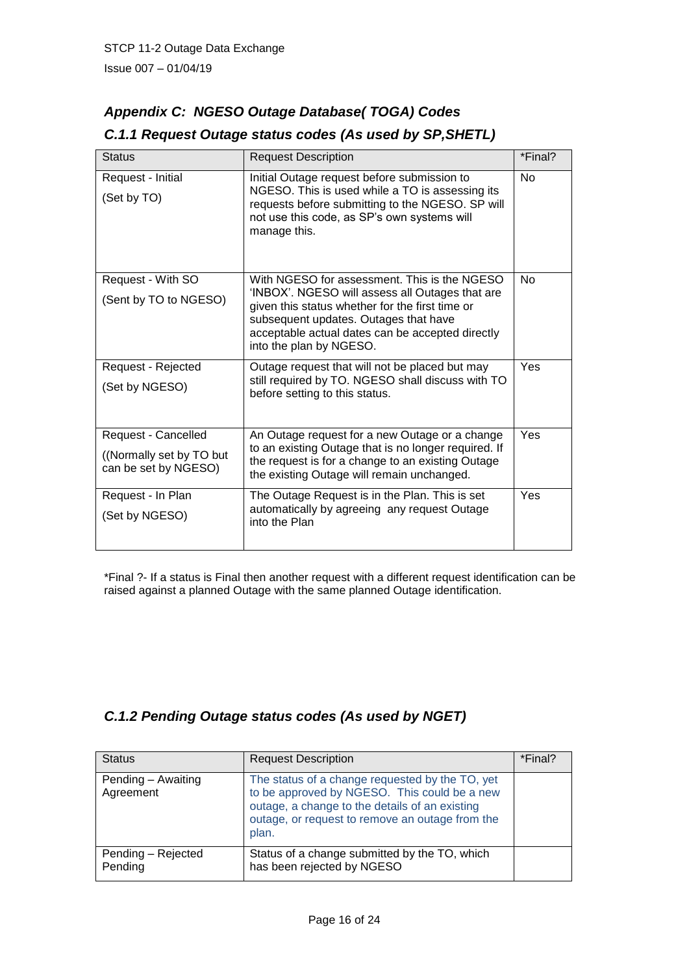# *Appendix C: NGESO Outage Database( TOGA) Codes*

| <b>Status</b>                                                            | <b>Request Description</b>                                                                                                                                                                                                                                                 | *Final?   |
|--------------------------------------------------------------------------|----------------------------------------------------------------------------------------------------------------------------------------------------------------------------------------------------------------------------------------------------------------------------|-----------|
| Request - Initial<br>(Set by TO)                                         | Initial Outage request before submission to<br>NGESO. This is used while a TO is assessing its<br>requests before submitting to the NGESO. SP will<br>not use this code, as SP's own systems will<br>manage this.                                                          | <b>No</b> |
| Request - With SO<br>(Sent by TO to NGESO)                               | With NGESO for assessment. This is the NGESO<br>'INBOX'. NGESO will assess all Outages that are<br>given this status whether for the first time or<br>subsequent updates. Outages that have<br>acceptable actual dates can be accepted directly<br>into the plan by NGESO. | <b>No</b> |
| Request - Rejected<br>(Set by NGESO)                                     | Outage request that will not be placed but may<br>still required by TO. NGESO shall discuss with TO<br>before setting to this status.                                                                                                                                      | Yes       |
| Request - Cancelled<br>((Normally set by TO but)<br>can be set by NGESO) | An Outage request for a new Outage or a change<br>to an existing Outage that is no longer required. If<br>the request is for a change to an existing Outage<br>the existing Outage will remain unchanged.                                                                  | Yes       |
| Request - In Plan<br>(Set by NGESO)                                      | The Outage Request is in the Plan. This is set<br>automatically by agreeing any request Outage<br>into the Plan                                                                                                                                                            | Yes       |

## *C.1.1 Request Outage status codes (As used by SP,SHETL)*

\*Final ?- If a status is Final then another request with a different request identification can be raised against a planned Outage with the same planned Outage identification.

# *C.1.2 Pending Outage status codes (As used by NGET)*

| <b>Status</b>                   | <b>Request Description</b>                                                                                                                                                                                    | *Final? |
|---------------------------------|---------------------------------------------------------------------------------------------------------------------------------------------------------------------------------------------------------------|---------|
| Pending - Awaiting<br>Agreement | The status of a change requested by the TO, yet<br>to be approved by NGESO. This could be a new<br>outage, a change to the details of an existing<br>outage, or request to remove an outage from the<br>plan. |         |
| Pending - Rejected<br>Pending   | Status of a change submitted by the TO, which<br>has been rejected by NGESO                                                                                                                                   |         |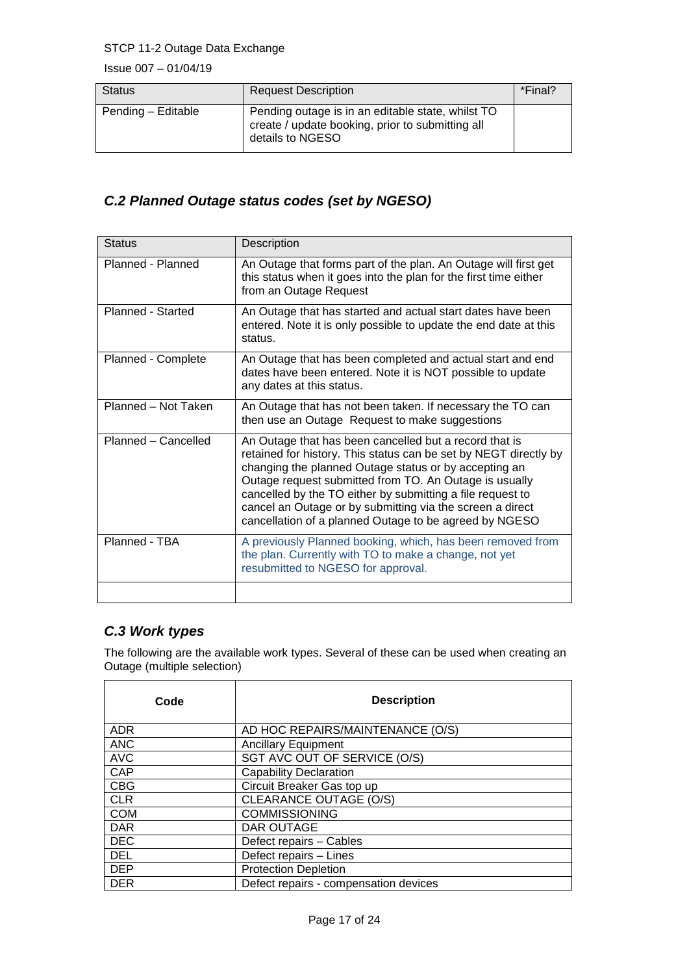Issue 007 – 01/04/19

| <b>Status</b>      | <b>Request Description</b>                                                                                                | *Final? |
|--------------------|---------------------------------------------------------------------------------------------------------------------------|---------|
| Pending - Editable | Pending outage is in an editable state, whilst TO<br>create / update booking, prior to submitting all<br>details to NGESO |         |

# *C.2 Planned Outage status codes (set by NGESO)*

| <b>Status</b>       | Description                                                                                                                                                                                                                                                                                                                                                                                                                        |
|---------------------|------------------------------------------------------------------------------------------------------------------------------------------------------------------------------------------------------------------------------------------------------------------------------------------------------------------------------------------------------------------------------------------------------------------------------------|
| Planned - Planned   | An Outage that forms part of the plan. An Outage will first get<br>this status when it goes into the plan for the first time either<br>from an Outage Request                                                                                                                                                                                                                                                                      |
| Planned - Started   | An Outage that has started and actual start dates have been<br>entered. Note it is only possible to update the end date at this<br>status.                                                                                                                                                                                                                                                                                         |
| Planned - Complete  | An Outage that has been completed and actual start and end<br>dates have been entered. Note it is NOT possible to update<br>any dates at this status.                                                                                                                                                                                                                                                                              |
| Planned - Not Taken | An Outage that has not been taken. If necessary the TO can<br>then use an Outage Request to make suggestions                                                                                                                                                                                                                                                                                                                       |
| Planned - Cancelled | An Outage that has been cancelled but a record that is<br>retained for history. This status can be set by NEGT directly by<br>changing the planned Outage status or by accepting an<br>Outage request submitted from TO. An Outage is usually<br>cancelled by the TO either by submitting a file request to<br>cancel an Outage or by submitting via the screen a direct<br>cancellation of a planned Outage to be agreed by NGESO |
| Planned - TBA       | A previously Planned booking, which, has been removed from<br>the plan. Currently with TO to make a change, not yet<br>resubmitted to NGESO for approval.                                                                                                                                                                                                                                                                          |
|                     |                                                                                                                                                                                                                                                                                                                                                                                                                                    |

# *C.3 Work types*

The following are the available work types. Several of these can be used when creating an Outage (multiple selection)

| Code       | <b>Description</b>                    |
|------------|---------------------------------------|
| <b>ADR</b> | AD HOC REPAIRS/MAINTENANCE (O/S)      |
| <b>ANC</b> | <b>Ancillary Equipment</b>            |
| <b>AVC</b> | SGT AVC OUT OF SERVICE (O/S)          |
| <b>CAP</b> | <b>Capability Declaration</b>         |
| <b>CBG</b> | Circuit Breaker Gas top up            |
| <b>CLR</b> | <b>CLEARANCE OUTAGE (O/S)</b>         |
| <b>COM</b> | <b>COMMISSIONING</b>                  |
| <b>DAR</b> | DAR OUTAGE                            |
| <b>DEC</b> | Defect repairs - Cables               |
| <b>DEL</b> | Defect repairs - Lines                |
| <b>DEP</b> | <b>Protection Depletion</b>           |
| <b>DER</b> | Defect repairs - compensation devices |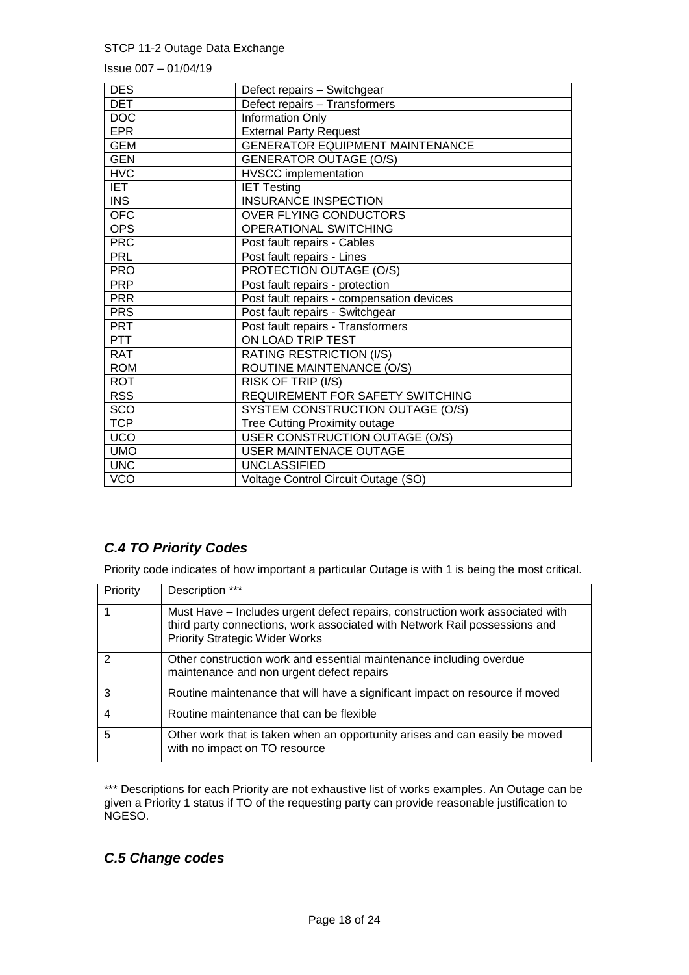Issue 007 – 01/04/19

| <b>DES</b> | Defect repairs - Switchgear               |
|------------|-------------------------------------------|
| <b>DET</b> | Defect repairs - Transformers             |
| <b>DOC</b> | Information Only                          |
| <b>EPR</b> | <b>External Party Request</b>             |
| <b>GEM</b> | <b>GENERATOR EQUIPMENT MAINTENANCE</b>    |
| <b>GEN</b> | <b>GENERATOR OUTAGE (O/S)</b>             |
| <b>HVC</b> | <b>HVSCC</b> implementation               |
| <b>IET</b> | <b>IET Testing</b>                        |
| <b>INS</b> | <b>INSURANCE INSPECTION</b>               |
| <b>OFC</b> | OVER FLYING CONDUCTORS                    |
| <b>OPS</b> | OPERATIONAL SWITCHING                     |
| <b>PRC</b> | Post fault repairs - Cables               |
| <b>PRL</b> | Post fault repairs - Lines                |
| <b>PRO</b> | PROTECTION OUTAGE (O/S)                   |
| <b>PRP</b> | Post fault repairs - protection           |
| <b>PRR</b> | Post fault repairs - compensation devices |
| <b>PRS</b> | Post fault repairs - Switchgear           |
| <b>PRT</b> | Post fault repairs - Transformers         |
| <b>PTT</b> | ON LOAD TRIP TEST                         |
| <b>RAT</b> | <b>RATING RESTRICTION (I/S)</b>           |
| <b>ROM</b> | ROUTINE MAINTENANCE (O/S)                 |
| <b>ROT</b> | RISK OF TRIP (I/S)                        |
| <b>RSS</b> | REQUIREMENT FOR SAFETY SWITCHING          |
| SCO        | SYSTEM CONSTRUCTION OUTAGE (O/S)          |
| <b>TCP</b> | Tree Cutting Proximity outage             |
| UCO        | <b>USER CONSTRUCTION OUTAGE (O/S)</b>     |
| <b>UMO</b> | <b>USER MAINTENACE OUTAGE</b>             |
| <b>UNC</b> | <b>UNCLASSIFIED</b>                       |
| <b>VCO</b> | Voltage Control Circuit Outage (SO)       |

# *C.4 TO Priority Codes*

Priority code indicates of how important a particular Outage is with 1 is being the most critical.

| Priority | Description ***                                                                                                                                                                                      |
|----------|------------------------------------------------------------------------------------------------------------------------------------------------------------------------------------------------------|
|          | Must Have – Includes urgent defect repairs, construction work associated with<br>third party connections, work associated with Network Rail possessions and<br><b>Priority Strategic Wider Works</b> |
| 2        | Other construction work and essential maintenance including overdue<br>maintenance and non urgent defect repairs                                                                                     |
| 3        | Routine maintenance that will have a significant impact on resource if moved                                                                                                                         |
| 4        | Routine maintenance that can be flexible                                                                                                                                                             |
| 5        | Other work that is taken when an opportunity arises and can easily be moved<br>with no impact on TO resource                                                                                         |

\*\*\* Descriptions for each Priority are not exhaustive list of works examples. An Outage can be given a Priority 1 status if TO of the requesting party can provide reasonable justification to NGESO.

# *C.5 Change codes*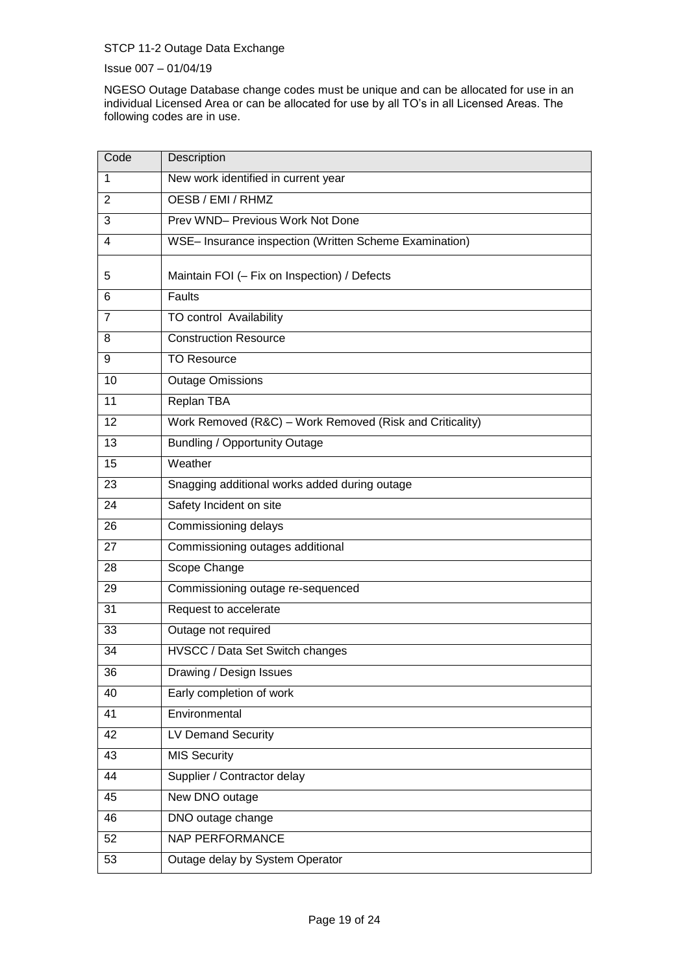Issue 007 – 01/04/19

NGESO Outage Database change codes must be unique and can be allocated for use in an individual Licensed Area or can be allocated for use by all TO's in all Licensed Areas. The following codes are in use.

| Code           | Description                                              |
|----------------|----------------------------------------------------------|
| 1              | New work identified in current year                      |
| $\overline{2}$ | OESB / EMI / RHMZ                                        |
| 3              | Prev WND- Previous Work Not Done                         |
| 4              | WSE- Insurance inspection (Written Scheme Examination)   |
| 5              | Maintain FOI (- Fix on Inspection) / Defects             |
| 6              | Faults                                                   |
| $\overline{7}$ | TO control Availability                                  |
| 8              | <b>Construction Resource</b>                             |
| 9              | <b>TO Resource</b>                                       |
| 10             | <b>Outage Omissions</b>                                  |
| 11             | <b>Replan TBA</b>                                        |
| 12             | Work Removed (R&C) - Work Removed (Risk and Criticality) |
| 13             | <b>Bundling / Opportunity Outage</b>                     |
| 15             | Weather                                                  |
| 23             | Snagging additional works added during outage            |
| 24             | Safety Incident on site                                  |
| 26             | Commissioning delays                                     |
| 27             | Commissioning outages additional                         |
| 28             | Scope Change                                             |
| 29             | Commissioning outage re-sequenced                        |
| 31             | Request to accelerate                                    |
| 33             | Outage not required                                      |
| 34             | HVSCC / Data Set Switch changes                          |
| 36             | Drawing / Design Issues                                  |
| 40             | Early completion of work                                 |
| 41             | Environmental                                            |
| 42             | LV Demand Security                                       |
| 43             | <b>MIS Security</b>                                      |
| 44             | Supplier / Contractor delay                              |
| 45             | New DNO outage                                           |
| 46             | DNO outage change                                        |
| 52             | <b>NAP PERFORMANCE</b>                                   |
| 53             | Outage delay by System Operator                          |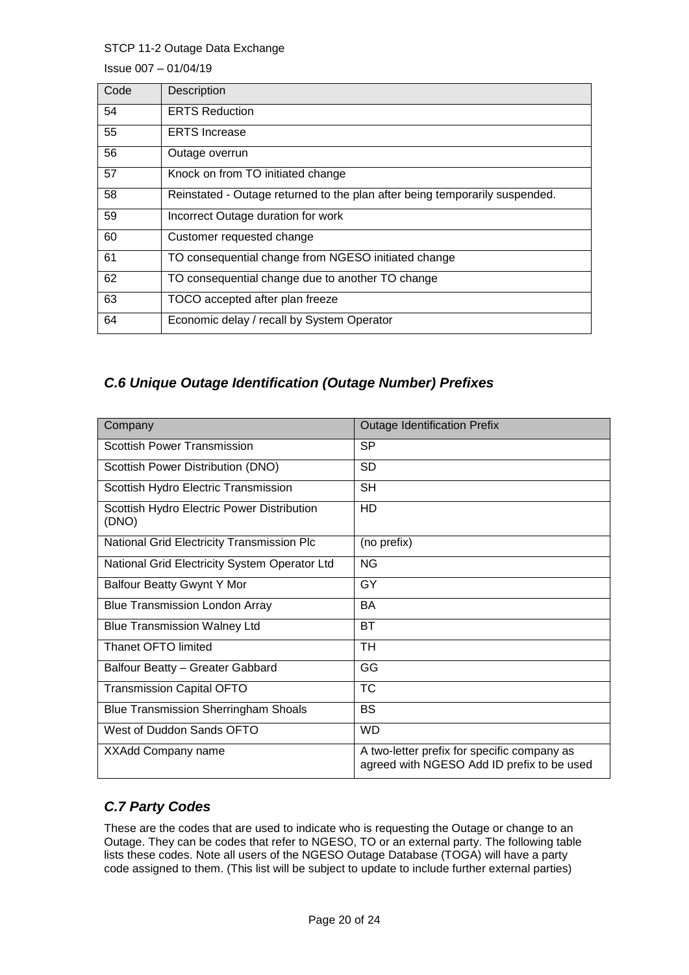Issue 007 – 01/04/19

| Code | Description                                                                 |
|------|-----------------------------------------------------------------------------|
| 54   | <b>ERTS Reduction</b>                                                       |
| 55   | <b>ERTS</b> Increase                                                        |
| 56   | Outage overrun                                                              |
| 57   | Knock on from TO initiated change                                           |
| 58   | Reinstated - Outage returned to the plan after being temporarily suspended. |
| 59   | Incorrect Outage duration for work                                          |
| 60   | Customer requested change                                                   |
| 61   | TO consequential change from NGESO initiated change                         |
| 62   | TO consequential change due to another TO change                            |
| 63   | TOCO accepted after plan freeze                                             |
| 64   | Economic delay / recall by System Operator                                  |

### *C.6 Unique Outage Identification (Outage Number) Prefixes*

| Company                                             | <b>Outage Identification Prefix</b>                                                       |
|-----------------------------------------------------|-------------------------------------------------------------------------------------------|
| <b>Scottish Power Transmission</b>                  | <b>SP</b>                                                                                 |
| Scottish Power Distribution (DNO)                   | SD.                                                                                       |
| Scottish Hydro Electric Transmission                | <b>SH</b>                                                                                 |
| Scottish Hydro Electric Power Distribution<br>(DNO) | HD                                                                                        |
| National Grid Electricity Transmission Plc          | (no prefix)                                                                               |
| National Grid Electricity System Operator Ltd       | <b>NG</b>                                                                                 |
| Balfour Beatty Gwynt Y Mor                          | GY                                                                                        |
| <b>Blue Transmission London Array</b>               | <b>BA</b>                                                                                 |
| <b>Blue Transmission Walney Ltd</b>                 | BT                                                                                        |
| Thanet OFTO limited                                 | TH.                                                                                       |
| Balfour Beatty - Greater Gabbard                    | GG                                                                                        |
| <b>Transmission Capital OFTO</b>                    | ТC                                                                                        |
| <b>Blue Transmission Sherringham Shoals</b>         | BS                                                                                        |
| West of Duddon Sands OFTO                           | <b>WD</b>                                                                                 |
| XXAdd Company name                                  | A two-letter prefix for specific company as<br>agreed with NGESO Add ID prefix to be used |

# *C.7 Party Codes*

These are the codes that are used to indicate who is requesting the Outage or change to an Outage. They can be codes that refer to NGESO, TO or an external party. The following table lists these codes. Note all users of the NGESO Outage Database (TOGA) will have a party code assigned to them. (This list will be subject to update to include further external parties)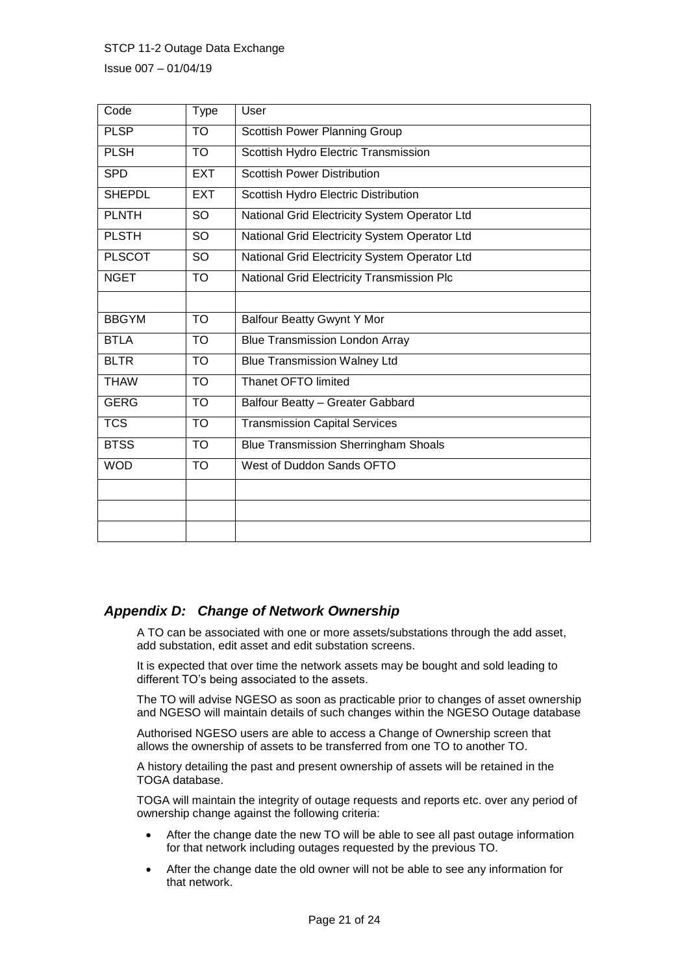Issue 007 – 01/04/19

| Code          | <b>Type</b> | User                                          |
|---------------|-------------|-----------------------------------------------|
| <b>PLSP</b>   | <b>TO</b>   | <b>Scottish Power Planning Group</b>          |
| <b>PLSH</b>   | TO          | Scottish Hydro Electric Transmission          |
| <b>SPD</b>    | <b>EXT</b>  | <b>Scottish Power Distribution</b>            |
| <b>SHEPDL</b> | <b>EXT</b>  | Scottish Hydro Electric Distribution          |
| <b>PLNTH</b>  | <b>SO</b>   | National Grid Electricity System Operator Ltd |
| <b>PLSTH</b>  | <b>SO</b>   | National Grid Electricity System Operator Ltd |
| <b>PLSCOT</b> | <b>SO</b>   | National Grid Electricity System Operator Ltd |
| <b>NGET</b>   | <b>TO</b>   | National Grid Electricity Transmission Plc    |
|               |             |                                               |
| <b>BBGYM</b>  | <b>TO</b>   | <b>Balfour Beatty Gwynt Y Mor</b>             |
| <b>BTLA</b>   | <b>TO</b>   | <b>Blue Transmission London Array</b>         |
| <b>BLTR</b>   | <b>TO</b>   | <b>Blue Transmission Walney Ltd</b>           |
| <b>THAW</b>   | <b>TO</b>   | <b>Thanet OFTO limited</b>                    |
| <b>GERG</b>   | <b>TO</b>   | Balfour Beatty - Greater Gabbard              |
| <b>TCS</b>    | <b>TO</b>   | <b>Transmission Capital Services</b>          |
| <b>BTSS</b>   | <b>TO</b>   | <b>Blue Transmission Sherringham Shoals</b>   |
| <b>WOD</b>    | <b>TO</b>   | West of Duddon Sands OFTO                     |
|               |             |                                               |
|               |             |                                               |
|               |             |                                               |

#### *Appendix D: Change of Network Ownership*

A TO can be associated with one or more assets/substations through the add asset, add substation, edit asset and edit substation screens.

It is expected that over time the network assets may be bought and sold leading to different TO's being associated to the assets.

The TO will advise NGESO as soon as practicable prior to changes of asset ownership and NGESO will maintain details of such changes within the NGESO Outage database

Authorised NGESO users are able to access a Change of Ownership screen that allows the ownership of assets to be transferred from one TO to another TO.

A history detailing the past and present ownership of assets will be retained in the TOGA database.

TOGA will maintain the integrity of outage requests and reports etc. over any period of ownership change against the following criteria:

- After the change date the new TO will be able to see all past outage information for that network including outages requested by the previous TO.
- After the change date the old owner will not be able to see any information for that network.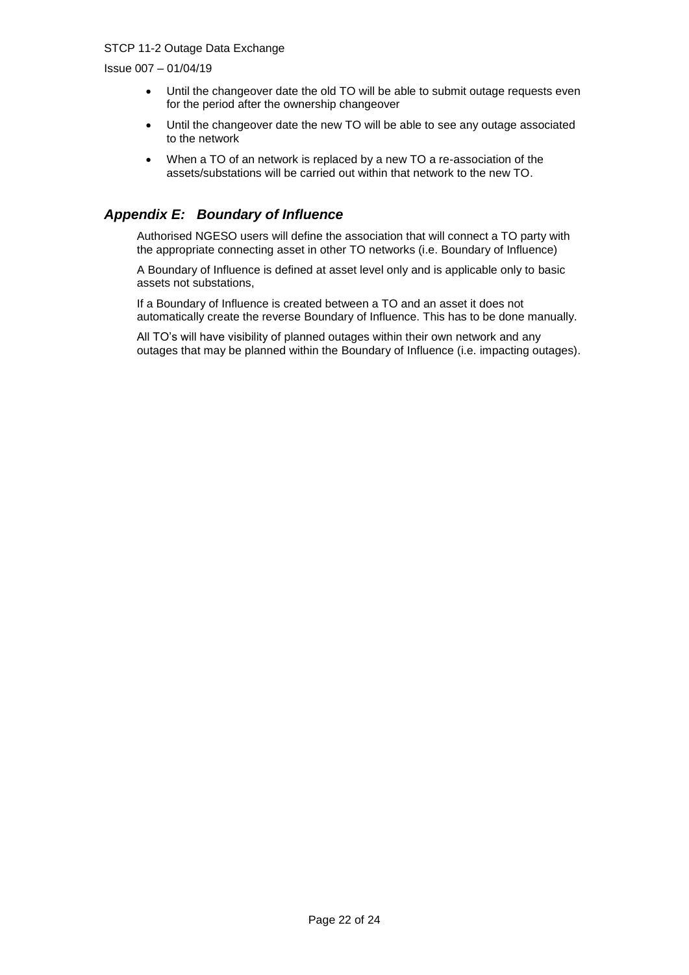Issue 007 – 01/04/19

- Until the changeover date the old TO will be able to submit outage requests even for the period after the ownership changeover
- Until the changeover date the new TO will be able to see any outage associated to the network
- When a TO of an network is replaced by a new TO a re-association of the assets/substations will be carried out within that network to the new TO.

### *Appendix E: Boundary of Influence*

Authorised NGESO users will define the association that will connect a TO party with the appropriate connecting asset in other TO networks (i.e. Boundary of Influence)

A Boundary of Influence is defined at asset level only and is applicable only to basic assets not substations,

If a Boundary of Influence is created between a TO and an asset it does not automatically create the reverse Boundary of Influence. This has to be done manually.

All TO's will have visibility of planned outages within their own network and any outages that may be planned within the Boundary of Influence (i.e. impacting outages).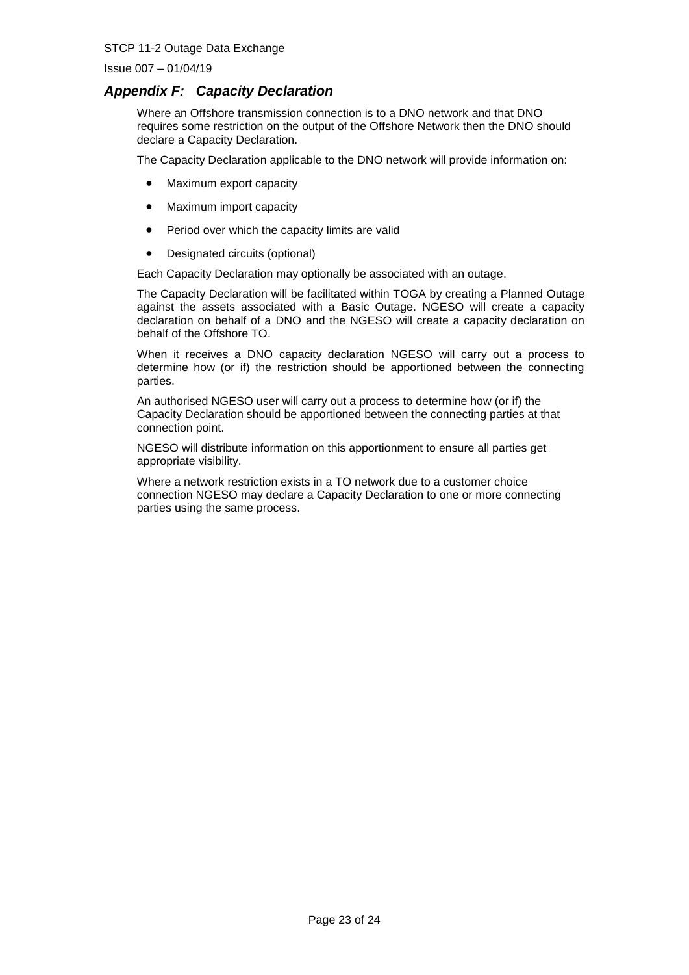Issue 007 – 01/04/19

#### *Appendix F: Capacity Declaration*

Where an Offshore transmission connection is to a DNO network and that DNO requires some restriction on the output of the Offshore Network then the DNO should declare a Capacity Declaration.

The Capacity Declaration applicable to the DNO network will provide information on:

- Maximum export capacity
- Maximum import capacity
- Period over which the capacity limits are valid
- Designated circuits (optional)

Each Capacity Declaration may optionally be associated with an outage.

The Capacity Declaration will be facilitated within TOGA by creating a Planned Outage against the assets associated with a Basic Outage. NGESO will create a capacity declaration on behalf of a DNO and the NGESO will create a capacity declaration on behalf of the Offshore TO.

When it receives a DNO capacity declaration NGESO will carry out a process to determine how (or if) the restriction should be apportioned between the connecting parties.

An authorised NGESO user will carry out a process to determine how (or if) the Capacity Declaration should be apportioned between the connecting parties at that connection point.

NGESO will distribute information on this apportionment to ensure all parties get appropriate visibility.

Where a network restriction exists in a TO network due to a customer choice connection NGESO may declare a Capacity Declaration to one or more connecting parties using the same process.